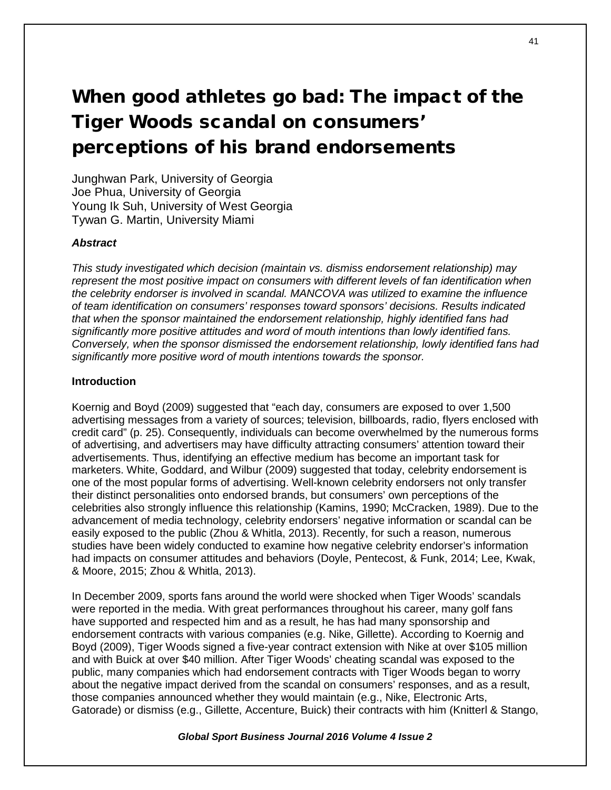# When good athletes go bad: The impact of the Tiger Woods scandal on consumers' perceptions of his brand endorsements

Junghwan Park, University of Georgia Joe Phua, University of Georgia Young Ik Suh, University of West Georgia Tywan G. Martin, University Miami

# *Abstract*

*This study investigated which decision (maintain vs. dismiss endorsement relationship) may represent the most positive impact on consumers with different levels of fan identification when the celebrity endorser is involved in scandal. MANCOVA was utilized to examine the influence of team identification on consumers' responses toward sponsors' decisions. Results indicated that when the sponsor maintained the endorsement relationship, highly identified fans had significantly more positive attitudes and word of mouth intentions than lowly identified fans. Conversely, when the sponsor dismissed the endorsement relationship, lowly identified fans had significantly more positive word of mouth intentions towards the sponsor.*

## **Introduction**

Koernig and Boyd (2009) suggested that "each day, consumers are exposed to over 1,500 advertising messages from a variety of sources; television, billboards, radio, flyers enclosed with credit card" (p. 25). Consequently, individuals can become overwhelmed by the numerous forms of advertising, and advertisers may have difficulty attracting consumers' attention toward their advertisements. Thus, identifying an effective medium has become an important task for marketers. White, Goddard, and Wilbur (2009) suggested that today, celebrity endorsement is one of the most popular forms of advertising. Well-known celebrity endorsers not only transfer their distinct personalities onto endorsed brands, but consumers' own perceptions of the celebrities also strongly influence this relationship (Kamins, 1990; McCracken, 1989). Due to the advancement of media technology, celebrity endorsers' negative information or scandal can be easily exposed to the public (Zhou & Whitla, 2013). Recently, for such a reason, numerous studies have been widely conducted to examine how negative celebrity endorser's information had impacts on consumer attitudes and behaviors (Doyle, Pentecost, & Funk, 2014; Lee, Kwak, & Moore, 2015; Zhou & Whitla, 2013).

In December 2009, sports fans around the world were shocked when Tiger Woods' scandals were reported in the media. With great performances throughout his career, many golf fans have supported and respected him and as a result, he has had many sponsorship and endorsement contracts with various companies (e.g. Nike, Gillette). According to Koernig and Boyd (2009), Tiger Woods signed a five-year contract extension with Nike at over \$105 million and with Buick at over \$40 million. After Tiger Woods' cheating scandal was exposed to the public, many companies which had endorsement contracts with Tiger Woods began to worry about the negative impact derived from the scandal on consumers' responses, and as a result, those companies announced whether they would maintain (e.g., Nike, Electronic Arts, Gatorade) or dismiss (e.g., Gillette, Accenture, Buick) their contracts with him (Knitterl & Stango,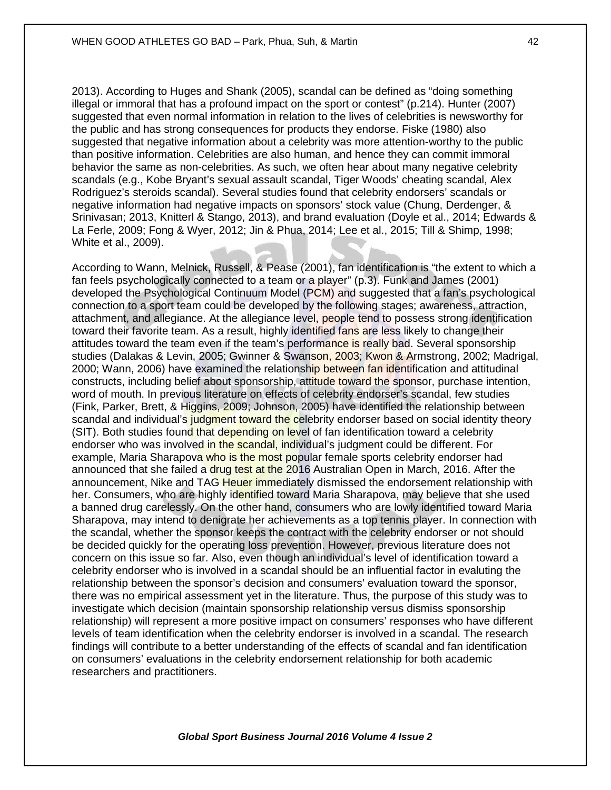2013). According to Huges and Shank (2005), scandal can be defined as "doing something illegal or immoral that has a profound impact on the sport or contest" (p.214). Hunter (2007) suggested that even normal information in relation to the lives of celebrities is newsworthy for the public and has strong consequences for products they endorse. Fiske (1980) also suggested that negative information about a celebrity was more attention-worthy to the public than positive information. Celebrities are also human, and hence they can commit immoral behavior the same as non-celebrities. As such, we often hear about many negative celebrity scandals (e.g., Kobe Bryant's sexual assault scandal, Tiger Woods' cheating scandal, Alex Rodriguez's steroids scandal). Several studies found that celebrity endorsers' scandals or negative information had negative impacts on sponsors' stock value (Chung, Derdenger, & Srinivasan; 2013, Knitterl & Stango, 2013), and brand evaluation (Doyle et al., 2014; Edwards & La Ferle, 2009; Fong & Wyer, 2012; Jin & Phua, 2014; Lee et al., 2015; Till & Shimp, 1998; White et al., 2009).

According to Wann, Melnick, Russell, & Pease (2001), fan identification is "the extent to which a fan feels psychologically connected to a team or a player" (p.3). Funk and James (2001) developed the Psychological Continuum Model (PCM) and suggested that a fan's psychological connection to a sport team could be developed by the following stages; awareness, attraction, attachment, and allegiance. At the allegiance level, people tend to possess strong identification toward their favorite team. As a result, highly identified fans are less likely to change their attitudes toward the team even if the team's performance is really bad. Several sponsorship studies (Dalakas & Levin, 2005; Gwinner & Swanson, 2003; Kwon & Armstrong, 2002; Madrigal, 2000; Wann, 2006) have examined the relationship between fan identification and attitudinal constructs, including belief about sponsorship, attitude toward the sponsor, purchase intention, word of mouth. In previous literature on effects of celebrity endorser's scandal, few studies (Fink, Parker, Brett, & Higgins, 2009; Johnson, 2005) have identified the relationship between scandal and individual's judgment toward the celebrity endorser based on social identity theory (SIT). Both studies found that depending on level of fan identification toward a celebrity endorser who was involved in the scandal, individual's judgment could be different. For example, Maria Sharapova who is the most popular female sports celebrity endorser had announced that she failed a drug test at the 2016 Australian Open in March, 2016. After the announcement, Nike and TAG Heuer immediately dismissed the endorsement relationship with her. Consumers, who are highly identified toward Maria Sharapova, may believe that she used a banned drug carelessly. On the other hand, consumers who are lowly identified toward Maria Sharapova, may intend to denigrate her achievements as a top tennis player. In connection with the scandal, whether the sponsor keeps the contract with the celebrity endorser or not should be decided quickly for the operating loss prevention. However, previous literature does not concern on this issue so far. Also, even though an individual's level of identification toward a celebrity endorser who is involved in a scandal should be an influential factor in evaluting the relationship between the sponsor's decision and consumers' evaluation toward the sponsor, there was no empirical assessment yet in the literature. Thus, the purpose of this study was to investigate which decision (maintain sponsorship relationship versus dismiss sponsorship relationship) will represent a more positive impact on consumers' responses who have different levels of team identification when the celebrity endorser is involved in a scandal. The research findings will contribute to a better understanding of the effects of scandal and fan identification on consumers' evaluations in the celebrity endorsement relationship for both academic researchers and practitioners.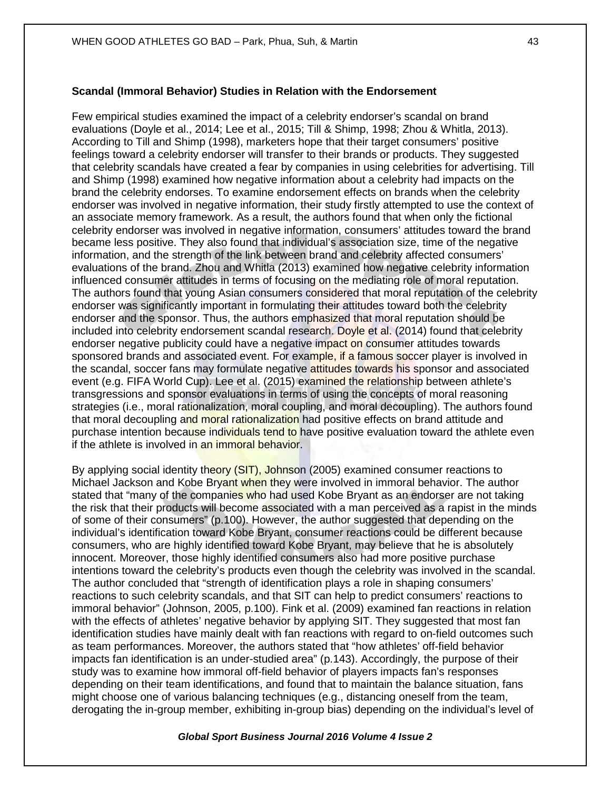## **Scandal (Immoral Behavior) Studies in Relation with the Endorsement**

Few empirical studies examined the impact of a celebrity endorser's scandal on brand evaluations (Doyle et al., 2014; Lee et al., 2015; Till & Shimp, 1998; Zhou & Whitla, 2013). According to Till and Shimp (1998), marketers hope that their target consumers' positive feelings toward a celebrity endorser will transfer to their brands or products. They suggested that celebrity scandals have created a fear by companies in using celebrities for advertising. Till and Shimp (1998) examined how negative information about a celebrity had impacts on the brand the celebrity endorses. To examine endorsement effects on brands when the celebrity endorser was involved in negative information, their study firstly attempted to use the context of an associate memory framework. As a result, the authors found that when only the fictional celebrity endorser was involved in negative information, consumers' attitudes toward the brand became less positive. They also found that individual's association size, time of the negative information, and the strength of the link between brand and celebrity affected consumers' evaluations of the brand. Zhou and Whitla (2013) examined how negative celebrity information influenced consumer attitudes in terms of focusing on the mediating role of moral reputation. The authors found that young Asian consumers considered that moral reputation of the celebrity endorser was significantly important in formulating their attitudes toward both the celebrity endorser and the sponsor. Thus, the authors emphasized that moral reputation should be included into celebrity endorsement scandal research. Doyle et al. (2014) found that celebrity endorser negative publicity could have a negative impact on consumer attitudes towards sponsored brands and associated event. For example, if a famous soccer player is involved in the scandal, soccer fans may formulate negative attitudes towards his sponsor and associated event (e.g. FIFA World Cup). Lee et al. (2015) examined the relationship between athlete's transgressions and sponsor evaluations in terms of using the concepts of moral reasoning strategies (i.e., moral rationalization, moral coupling, and moral decoupling). The authors found that moral decoupling and moral rationalization had positive effects on brand attitude and purchase intention because individuals tend to have positive evaluation toward the athlete even if the athlete is involved in an immoral behavior.

By applying social identity theory (SIT), Johnson (2005) examined consumer reactions to Michael Jackson and Kobe Bryant when they were involved in immoral behavior. The author stated that "many of the companies who had used Kobe Bryant as an endorser are not taking the risk that their products will become associated with a man perceived as a rapist in the minds of some of their consumers" (p.100). However, the author suggested that depending on the individual's identification toward Kobe Bryant, consumer reactions could be different because consumers, who are highly identified toward Kobe Bryant, may believe that he is absolutely innocent. Moreover, those highly identified consumers also had more positive purchase intentions toward the celebrity's products even though the celebrity was involved in the scandal. The author concluded that "strength of identification plays a role in shaping consumers' reactions to such celebrity scandals, and that SIT can help to predict consumers' reactions to immoral behavior" (Johnson, 2005, p.100). Fink et al. (2009) examined fan reactions in relation with the effects of athletes' negative behavior by applying SIT. They suggested that most fan identification studies have mainly dealt with fan reactions with regard to on-field outcomes such as team performances. Moreover, the authors stated that "how athletes' off-field behavior impacts fan identification is an under-studied area" (p.143). Accordingly, the purpose of their study was to examine how immoral off-field behavior of players impacts fan's responses depending on their team identifications, and found that to maintain the balance situation, fans might choose one of various balancing techniques (e.g., distancing oneself from the team, derogating the in-group member, exhibiting in-group bias) depending on the individual's level of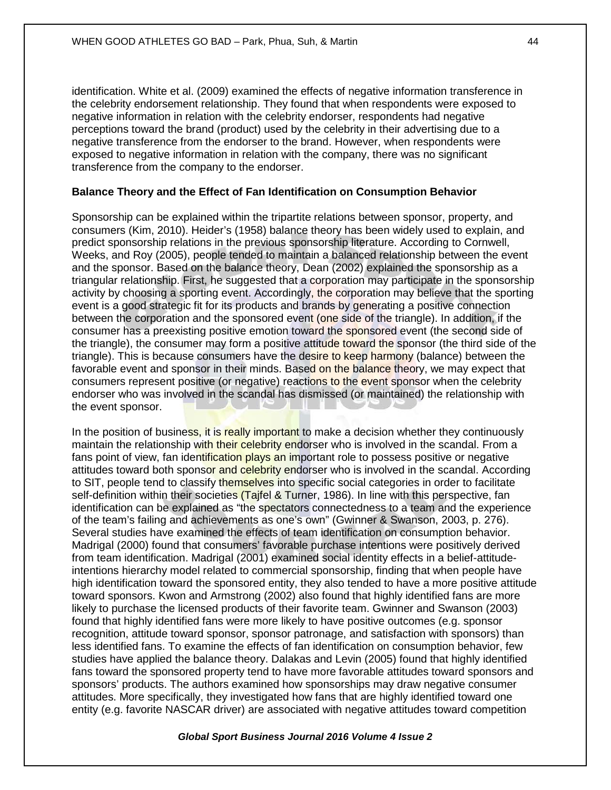identification. White et al. (2009) examined the effects of negative information transference in the celebrity endorsement relationship. They found that when respondents were exposed to negative information in relation with the celebrity endorser, respondents had negative perceptions toward the brand (product) used by the celebrity in their advertising due to a negative transference from the endorser to the brand. However, when respondents were exposed to negative information in relation with the company, there was no significant transference from the company to the endorser.

# **Balance Theory and the Effect of Fan Identification on Consumption Behavior**

Sponsorship can be explained within the tripartite relations between sponsor, property, and consumers (Kim, 2010). Heider's (1958) balance theory has been widely used to explain, and predict sponsorship relations in the previous sponsorship literature. According to Cornwell, Weeks, and Roy (2005), people tended to maintain a balanced relationship between the event and the sponsor. Based on the balance theory, Dean (2002) explained the sponsorship as a triangular relationship. First, he suggested that a corporation may participate in the sponsorship activity by choosing a sporting event. Accordingly, the corporation may believe that the sporting event is a good strategic fit for its products and brands by generating a positive connection between the corporation and the sponsored event (one side of the triangle). In addition, if the consumer has a preexisting positive emotion toward the sponsored event (the second side of the triangle), the consumer may form a positive attitude toward the sponsor (the third side of the triangle). This is because consumers have the desire to keep harmony (balance) between the favorable event and sponsor in their minds. Based on the balance theory, we may expect that consumers represent positive (or negative) reactions to the event sponsor when the celebrity endorser who was involved in the scandal has dismissed (or maintained) the relationship with the event sponsor.

In the position of business, it is really important to make a decision whether they continuously maintain the relationship with their celebrity endorser who is involved in the scandal. From a fans point of view, fan identification plays an important role to possess positive or negative attitudes toward both sponsor and celebrity endorser who is involved in the scandal. According to SIT, people tend to classify themselves into specific social categories in order to facilitate self-definition within their societies (Tajfel & Turner, 1986). In line with this perspective, fan identification can be explained as "the spectators connectedness to a team and the experience of the team's failing and achievements as one's own" (Gwinner & Swanson, 2003, p. 276). Several studies have examined the effects of team identification on consumption behavior. Madrigal (2000) found that consumers' favorable purchase intentions were positively derived from team identification. Madrigal (2001) examined social identity effects in a belief-attitudeintentions hierarchy model related to commercial sponsorship, finding that when people have high identification toward the sponsored entity, they also tended to have a more positive attitude toward sponsors. Kwon and Armstrong (2002) also found that highly identified fans are more likely to purchase the licensed products of their favorite team. Gwinner and Swanson (2003) found that highly identified fans were more likely to have positive outcomes (e.g. sponsor recognition, attitude toward sponsor, sponsor patronage, and satisfaction with sponsors) than less identified fans. To examine the effects of fan identification on consumption behavior, few studies have applied the balance theory. Dalakas and Levin (2005) found that highly identified fans toward the sponsored property tend to have more favorable attitudes toward sponsors and sponsors' products. The authors examined how sponsorships may draw negative consumer attitudes. More specifically, they investigated how fans that are highly identified toward one entity (e.g. favorite NASCAR driver) are associated with negative attitudes toward competition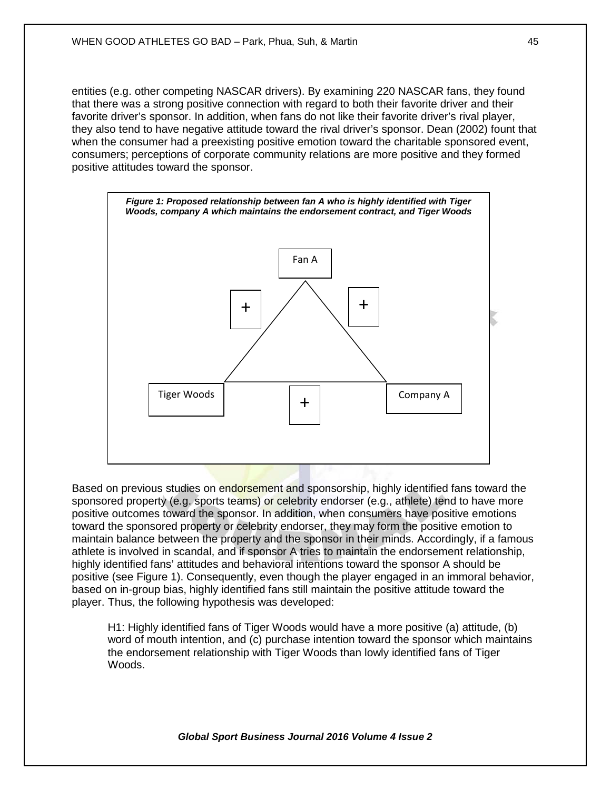entities (e.g. other competing NASCAR drivers). By examining 220 NASCAR fans, they found that there was a strong positive connection with regard to both their favorite driver and their favorite driver's sponsor. In addition, when fans do not like their favorite driver's rival player, they also tend to have negative attitude toward the rival driver's sponsor. Dean (2002) fount that when the consumer had a preexisting positive emotion toward the charitable sponsored event, consumers; perceptions of corporate community relations are more positive and they formed positive attitudes toward the sponsor.



Based on previous studies on endorsement and sponsorship, highly identified fans toward the sponsored property (e.g. sports teams) or celebrity endorser (e.g., athlete) tend to have more positive outcomes toward the sponsor. In addition, when consumers have positive emotions toward the sponsored property or celebrity endorser, they may form the positive emotion to maintain balance between the property and the sponsor in their minds. Accordingly, if a famous athlete is involved in scandal, and if sponsor A tries to maintain the endorsement relationship, highly identified fans' attitudes and behavioral intentions toward the sponsor A should be positive (see Figure 1). Consequently, even though the player engaged in an immoral behavior, based on in-group bias, highly identified fans still maintain the positive attitude toward the player. Thus, the following hypothesis was developed:

H1: Highly identified fans of Tiger Woods would have a more positive (a) attitude, (b) word of mouth intention, and (c) purchase intention toward the sponsor which maintains the endorsement relationship with Tiger Woods than lowly identified fans of Tiger Woods.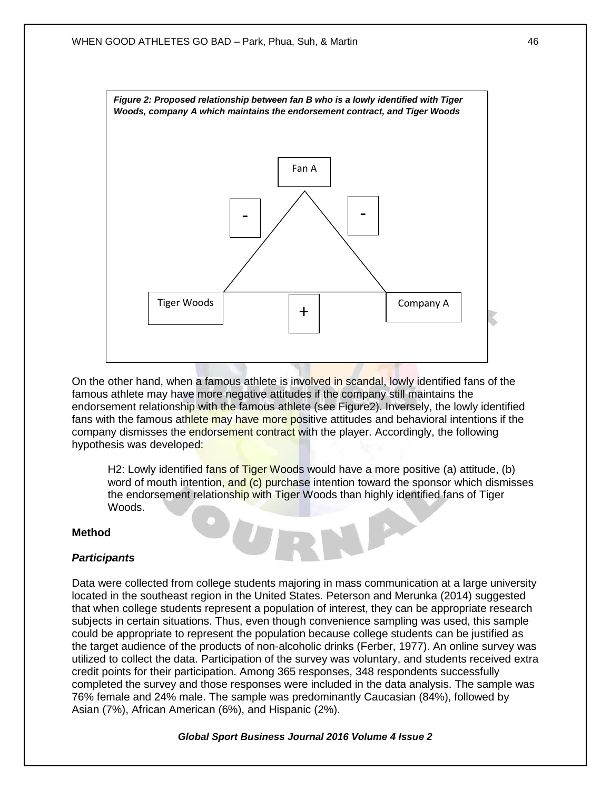

On the other hand, when a famous athlete is involved in scandal, lowly identified fans of the famous athlete may have more negative attitudes if the company still maintains the endorsement relationship with the famous athlete (see Figure2). Inversely, the lowly identified fans with the famous athlete may have more positive attitudes and behavioral intentions if the company dismisses the **endorsement contract** with the player. Accordingly, the following hypothesis was developed:

H2: Lowly identified fans of Tiger Woods would have a more positive (a) attitude, (b) word of mouth intention, and (c) purchase intention toward the sponsor which dismisses the endorsement relationship with Tiger Woods than highly identified fans of Tiger Woods.

## **Method**

## *Participants*

Data were collected from college students majoring in mass communication at a large university located in the southeast region in the United States. Peterson and Merunka (2014) suggested that when college students represent a population of interest, they can be appropriate research subjects in certain situations. Thus, even though convenience sampling was used, this sample could be appropriate to represent the population because college students can be justified as the target audience of the products of non-alcoholic drinks (Ferber, 1977). An online survey was utilized to collect the data. Participation of the survey was voluntary, and students received extra credit points for their participation. Among 365 responses, 348 respondents successfully completed the survey and those responses were included in the data analysis. The sample was 76% female and 24% male. The sample was predominantly Caucasian (84%), followed by Asian (7%), African American (6%), and Hispanic (2%).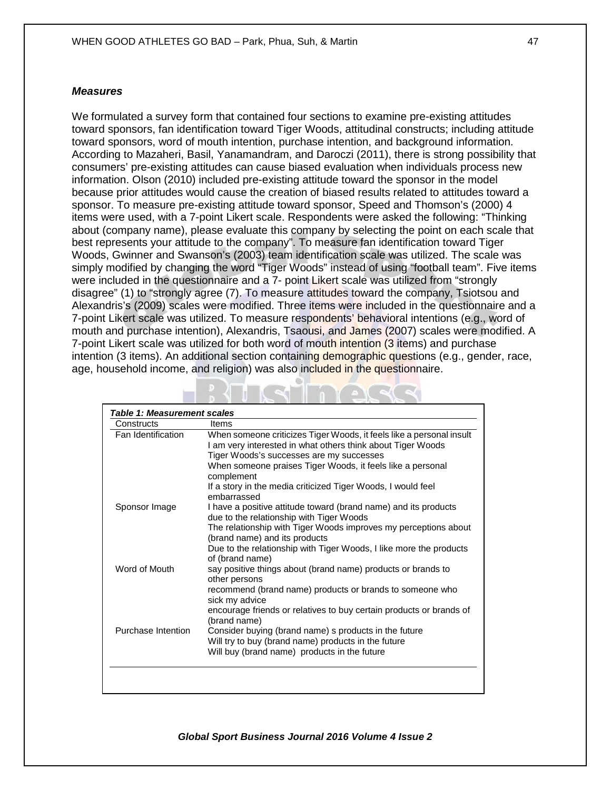#### *Measures*

We formulated a survey form that contained four sections to examine pre-existing attitudes toward sponsors, fan identification toward Tiger Woods, attitudinal constructs; including attitude toward sponsors, word of mouth intention, purchase intention, and background information. According to Mazaheri, Basil, Yanamandram, and Daroczi (2011), there is strong possibility that consumers' pre-existing attitudes can cause biased evaluation when individuals process new information. Olson (2010) included pre-existing attitude toward the sponsor in the model because prior attitudes would cause the creation of biased results related to attitudes toward a sponsor. To measure pre-existing attitude toward sponsor, Speed and Thomson's (2000) 4 items were used, with a 7-point Likert scale. Respondents were asked the following: "Thinking about (company name), please evaluate this company by selecting the point on each scale that best represents your attitude to the company". To measure fan identification toward Tiger Woods, Gwinner and Swanson's (2003) team identification scale was utilized. The scale was simply modified by changing the word "Tiger Woods" instead of using "football team". Five items were included in the questionnaire and a 7- point Likert scale was utilized from "strongly disagree" (1) to "strongly agree (7). To measure attitudes toward the company, Tsiotsou and Alexandris's (2009) scales were modified. Three items were included in the questionnaire and a 7-point Likert scale was utilized. To measure respondents' behavioral intentions (e.g., word of mouth and purchase intention), Alexandris, Tsaousi, and James (2007) scales were modified. A 7-point Likert scale was utilized for both word of mouth intention (3 items) and purchase intention (3 items). An additional section containing demographic questions (e.g., gender, race, age, household income, and religion) was also included in the questionnaire.

| Constructs         | Items                                                                                                                               |
|--------------------|-------------------------------------------------------------------------------------------------------------------------------------|
| Fan Identification | When someone criticizes Tiger Woods, it feels like a personal insult<br>I am very interested in what others think about Tiger Woods |
|                    | Tiger Woods's successes are my successes                                                                                            |
|                    | When someone praises Tiger Woods, it feels like a personal<br>complement                                                            |
|                    | If a story in the media criticized Tiger Woods, I would feel<br>embarrassed                                                         |
| Sponsor Image      | I have a positive attitude toward (brand name) and its products<br>due to the relationship with Tiger Woods                         |
|                    | The relationship with Tiger Woods improves my perceptions about<br>(brand name) and its products                                    |
|                    | Due to the relationship with Tiger Woods, I like more the products<br>of (brand name)                                               |
| Word of Mouth      | say positive things about (brand name) products or brands to<br>other persons                                                       |
|                    | recommend (brand name) products or brands to someone who<br>sick my advice                                                          |
|                    | encourage friends or relatives to buy certain products or brands of<br>(brand name)                                                 |
| Purchase Intention | Consider buying (brand name) s products in the future                                                                               |
|                    | Will try to buy (brand name) products in the future                                                                                 |
|                    | Will buy (brand name) products in the future                                                                                        |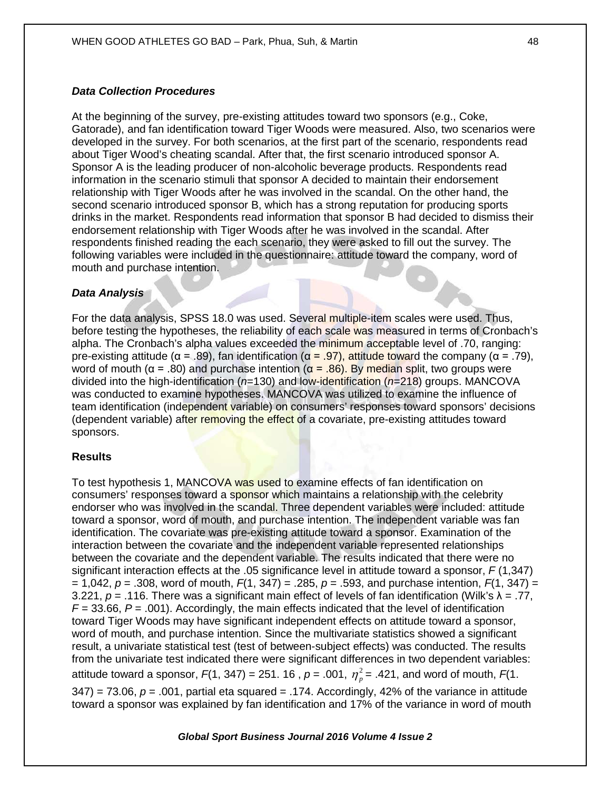# *Data Collection Procedures*

At the beginning of the survey, pre-existing attitudes toward two sponsors (e.g., Coke, Gatorade), and fan identification toward Tiger Woods were measured. Also, two scenarios were developed in the survey. For both scenarios, at the first part of the scenario, respondents read about Tiger Wood's cheating scandal. After that, the first scenario introduced sponsor A. Sponsor A is the leading producer of non-alcoholic beverage products. Respondents read information in the scenario stimuli that sponsor A decided to maintain their endorsement relationship with Tiger Woods after he was involved in the scandal. On the other hand, the second scenario introduced sponsor B, which has a strong reputation for producing sports drinks in the market. Respondents read information that sponsor B had decided to dismiss their endorsement relationship with Tiger Woods after he was involved in the scandal. After respondents finished reading the each scenario, they were asked to fill out the survey. The following variables were included in the questionnaire: attitude toward the company, word of mouth and purchase intention.

# *Data Analysis*

For the data analysis, SPSS 18.0 was used. Several multiple-item scales were used. Thus, before testing the hypotheses, the reliability of each scale was measured in terms of Cronbach's alpha. The Cronbach's alpha values exceeded the minimum acceptable level of .70, ranging: pre-existing attitude (α = .89), fan identification (α = .97), attitude toward the company (α = .79), word of mouth ( $α = .80$ ) and purchase intention ( $α = .86$ ). By median split, two groups were divided into the high-identification (*n*=130) and low-identification (*n*=218) groups. MANCOVA was conducted to examine hypotheses. MANCOVA was utilized to examine the influence of team identification (independent variable) on consumers' responses toward sponsors' decisions (dependent variable) after removing the effect of a covariate, pre-existing attitudes toward sponsors.

## **Results**

To test hypothesis 1, MANCOVA was used to examine effects of fan identification on consumers' responses toward a sponsor which maintains a relationship with the celebrity endorser who was involved in the scandal. Three dependent variables were included: attitude toward a sponsor, word of mouth, and purchase intention. The independent variable was fan identification. The covariate was pre-existing attitude toward a sponsor. Examination of the interaction between the covariate and the independent variable represented relationships between the covariate and the dependent variable. The results indicated that there were no significant interaction effects at the .05 significance level in attitude toward a sponsor, *F* (1,347) = 1,042,  $p = .308$ , word of mouth,  $F(1, 347) = .285$ ,  $p = .593$ , and purchase intention,  $F(1, 347) =$ 3.221, *p* = .116. There was a significant main effect of levels of fan identification (Wilk's λ = .77,  $F = 33.66$ ,  $P = .001$ ). Accordingly, the main effects indicated that the level of identification toward Tiger Woods may have significant independent effects on attitude toward a sponsor, word of mouth, and purchase intention. Since the multivariate statistics showed a significant result, a univariate statistical test (test of between-subject effects) was conducted. The results from the univariate test indicated there were significant differences in two dependent variables: attitude toward a sponsor,  $F(1, 347) = 251. 16$ ,  $p = .001$ ,  $\eta_p^2 = .421$ , and word of mouth,  $F(1, 1)$  $347$ ) = 73.06,  $p = .001$ , partial eta squared = .174. Accordingly, 42% of the variance in attitude toward a sponsor was explained by fan identification and 17% of the variance in word of mouth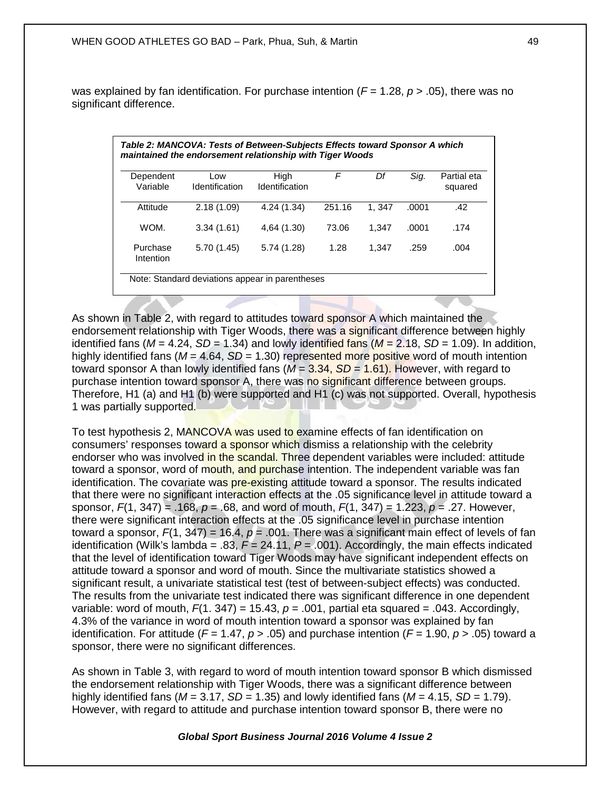was explained by fan identification. For purchase intention ( $F = 1.28$ ,  $p > .05$ ), there was no significant difference.

| Dependent<br>Variable | Low<br>Identification | High<br>Identification | F      | Df    | Sig.  | Partial eta<br>squared |
|-----------------------|-----------------------|------------------------|--------|-------|-------|------------------------|
| Attitude              | 2.18(1.09)            | 4.24 (1.34)            | 251.16 | 1.347 | .0001 | .42                    |
| WOM.                  | 3.34(1.61)            | 4,64 (1.30)            | 73.06  | 1.347 | .0001 | .174                   |
| Purchase<br>Intention | 5.70(1.45)            | 5.74 (1.28)            | 1.28   | 1.347 | .259  | .004                   |

As shown in Table 2, with regard to attitudes toward sponsor A which maintained the endorsement relationship with Tiger Woods, there was a significant difference between highly identified fans ( $M = 4.24$ ,  $SD = 1.34$ ) and lowly identified fans ( $M = 2.18$ ,  $SD = 1.09$ ). In addition, highly identified fans ( $M = 4.64$ ,  $SD = 1.30$ ) represented more positive word of mouth intention toward sponsor A than lowly identified fans (*M* = 3.34, *SD* = 1.61). However, with regard to purchase intention toward sponsor A, there was no significant difference between groups. Therefore, H1 (a) and H1 (b) were supported and H1 (c) was not supported. Overall, hypothesis 1 was partially supported.

To test hypothesis 2, MANCOVA was used to examine effects of fan identification on consumers' responses toward a sponsor which dismiss a relationship with the celebrity endorser who was involved in the scandal. Three dependent variables were included: attitude toward a sponsor, word of mouth, and purchase intention. The independent variable was fan identification. The covariate was pre-existing attitude toward a sponsor. The results indicated that there were no significant interaction effects at the .05 significance level in attitude toward a sponsor, *F*(1, 347) = .168, *p* = .68, and word of mouth, *F*(1, 347) = 1.223, *p* = .27. However, there were significant interaction effects at the .05 significance level in purchase intention toward a sponsor, *F*(1, 347) = 16.4, *p* = .001. There was a significant main effect of levels of fan identification (Wilk's lambda = .83, *F* = 24.11, *P* = .001). Accordingly, the main effects indicated that the level of identification toward Tiger Woods may have significant independent effects on attitude toward a sponsor and word of mouth. Since the multivariate statistics showed a significant result, a univariate statistical test (test of between-subject effects) was conducted. The results from the univariate test indicated there was significant difference in one dependent variable: word of mouth,  $F(1. 347) = 15.43$ ,  $p = .001$ , partial eta squared = .043. Accordingly, 4.3% of the variance in word of mouth intention toward a sponsor was explained by fan identification. For attitude ( $F = 1.47$ ,  $p > .05$ ) and purchase intention ( $F = 1.90$ ,  $p > .05$ ) toward a sponsor, there were no significant differences.

As shown in Table 3, with regard to word of mouth intention toward sponsor B which dismissed the endorsement relationship with Tiger Woods, there was a significant difference between highly identified fans ( $M = 3.17$ ,  $SD = 1.35$ ) and lowly identified fans ( $M = 4.15$ ,  $SD = 1.79$ ). However, with regard to attitude and purchase intention toward sponsor B, there were no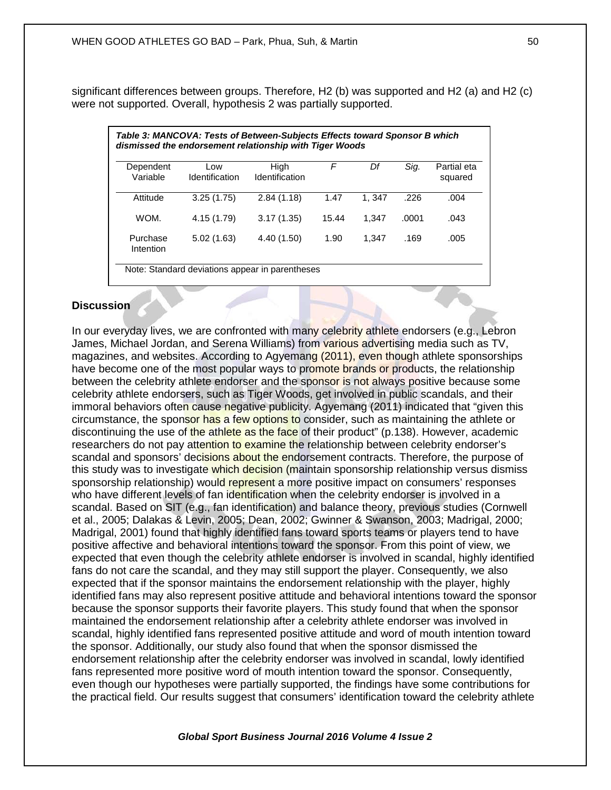significant differences between groups. Therefore, H2 (b) was supported and H2 (a) and H2 (c) were not supported. Overall, hypothesis 2 was partially supported.

| Dependent<br>Variable | Low<br>Identification | High<br>Identification | F     | Df    | Sig.  | Partial eta<br>squared |
|-----------------------|-----------------------|------------------------|-------|-------|-------|------------------------|
|                       |                       |                        |       |       |       |                        |
| WOM.                  | 4.15 (1.79)           | 3.17(1.35)             | 15.44 | 1.347 | .0001 | .043                   |
| Purchase              | 5.02(1.63)            | 4.40 (1.50)            | 1.90  | 1.347 | .169  | .005                   |

# **Discussion**

In our everyday lives, we are confronted with many celebrity athlete endorsers (e.g., Lebron James, Michael Jordan, and Serena Williams) from various advertising media such as TV, magazines, and websites. According to Agyemang (2011), even though athlete sponsorships have become one of the most popular ways to promote brands or products, the relationship between the celebrity athlete endorser and the sponsor is not always positive because some celebrity athlete endorsers, such as Tiger Woods, get involved in public scandals, and their immoral behaviors often cause negative publicity. Agyemang (2011) indicated that "given this circumstance, the sponsor has a few options to consider, such as maintaining the athlete or discontinuing the use of the athlete as the face of their product" (p.138). However, academic researchers do not pay attention to examine the relationship between celebrity endorser's scandal and sponsors' decisions about the endorsement contracts. Therefore, the purpose of this study was to investigate which decision (maintain sponsorship relationship versus dismiss sponsorship relationship) would represent a more positive impact on consumers' responses who have different levels of fan identification when the celebrity endorser is involved in a scandal. Based on SIT (e.g., fan identification) and balance theory, previous studies (Cornwell et al., 2005; Dalakas & Levin, 2005; Dean, 2002; Gwinner & Swanson, 2003; Madrigal, 2000; Madrigal, 2001) found that highly identified fans toward sports teams or players tend to have positive affective and behavioral intentions toward the sponsor. From this point of view, we expected that even though the celebrity athlete endorser is involved in scandal, highly identified fans do not care the scandal, and they may still support the player. Consequently, we also expected that if the sponsor maintains the endorsement relationship with the player, highly identified fans may also represent positive attitude and behavioral intentions toward the sponsor because the sponsor supports their favorite players. This study found that when the sponsor maintained the endorsement relationship after a celebrity athlete endorser was involved in scandal, highly identified fans represented positive attitude and word of mouth intention toward the sponsor. Additionally, our study also found that when the sponsor dismissed the endorsement relationship after the celebrity endorser was involved in scandal, lowly identified fans represented more positive word of mouth intention toward the sponsor. Consequently, even though our hypotheses were partially supported, the findings have some contributions for the practical field. Our results suggest that consumers' identification toward the celebrity athlete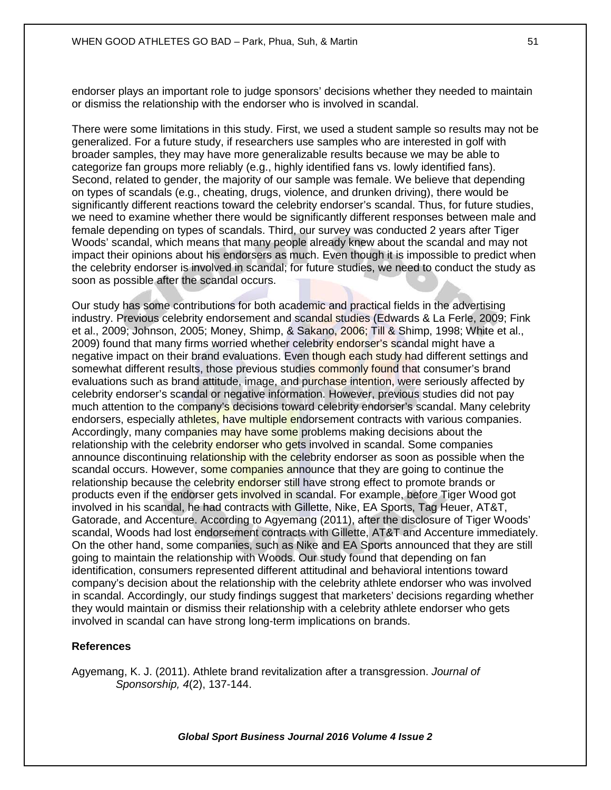endorser plays an important role to judge sponsors' decisions whether they needed to maintain or dismiss the relationship with the endorser who is involved in scandal.

There were some limitations in this study. First, we used a student sample so results may not be generalized. For a future study, if researchers use samples who are interested in golf with broader samples, they may have more generalizable results because we may be able to categorize fan groups more reliably (e.g., highly identified fans vs. lowly identified fans). Second, related to gender, the majority of our sample was female. We believe that depending on types of scandals (e.g., cheating, drugs, violence, and drunken driving), there would be significantly different reactions toward the celebrity endorser's scandal. Thus, for future studies, we need to examine whether there would be significantly different responses between male and female depending on types of scandals. Third, our survey was conducted 2 years after Tiger Woods' scandal, which means that many people already knew about the scandal and may not impact their opinions about his endorsers as much. Even though it is impossible to predict when the celebrity endorser is involved in scandal; for future studies, we need to conduct the study as soon as possible after the scandal occurs.

Our study has some contributions for both academic and practical fields in the advertising industry. Previous celebrity endorsement and scandal studies (Edwards & La Ferle, 2009; Fink et al., 2009; Johnson, 2005; Money, Shimp, & Sakano, 2006; Till & Shimp, 1998; White et al., 2009) found that many firms worried whether celebrity endorser's scandal might have a negative impact on their brand evaluations. Even though each study had different settings and somewhat different results, those previous studies commonly found that consumer's brand evaluations such as brand attitude, image, and purchase intention, were seriously affected by celebrity endorser's scandal or negative information. However, previous studies did not pay much attention to the company's decisions toward celebrity endorser's scandal. Many celebrity endorsers, especially athletes, have multiple endorsement contracts with various companies. Accordingly, many companies may have some problems making decisions about the relationship with the celebrity endorser who gets involved in scandal. Some companies announce discontinuing relationship with the celebrity endorser as soon as possible when the scandal occurs. However, some companies announce that they are going to continue the relationship because the celebrity endorser still have strong effect to promote brands or products even if the endorser gets involved in scandal. For example, before Tiger Wood got involved in his scandal, he had contracts with Gillette, Nike, EA Sports, Tag Heuer, AT&T, Gatorade, and Accenture. According to Agyemang (2011), after the disclosure of Tiger Woods' scandal, Woods had lost endorsement contracts with Gillette, AT&T and Accenture immediately. On the other hand, some companies, such as Nike and EA Sports announced that they are still going to maintain the relationship with Woods. Our study found that depending on fan identification, consumers represented different attitudinal and behavioral intentions toward company's decision about the relationship with the celebrity athlete endorser who was involved in scandal. Accordingly, our study findings suggest that marketers' decisions regarding whether they would maintain or dismiss their relationship with a celebrity athlete endorser who gets involved in scandal can have strong long-term implications on brands.

#### **References**

Agyemang, K. J. (2011). Athlete brand revitalization after a transgression. *Journal of Sponsorship, 4*(2), 137-144.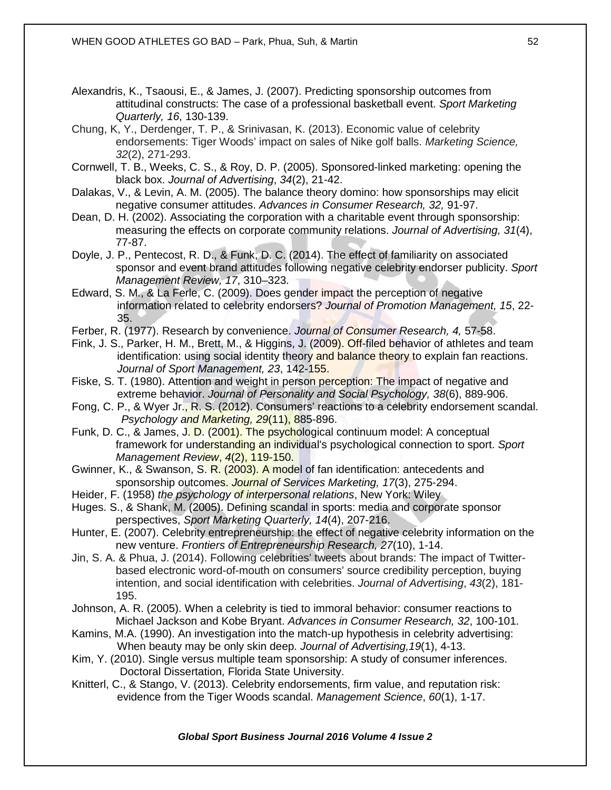- Alexandris, K., Tsaousi, E., & James, J. (2007). Predicting sponsorship outcomes from attitudinal constructs: The case of a professional basketball event. *Sport Marketing Quarterly, 16*, 130-139.
- Chung, K, Y., Derdenger, T. P., & Srinivasan, K. (2013). Economic value of celebrity endorsements: Tiger Woods' impact on sales of Nike golf balls. *Marketing Science, 32*(2), 271-293.
- Cornwell, T. B., Weeks, C. S., & Roy, D. P. (2005). Sponsored-linked marketing: opening the black box. *Journal of Advertising*, *34*(2), 21-42.
- Dalakas, V., & Levin, A. M. (2005). The balance theory domino: how sponsorships may elicit negative consumer attitudes. *Advances in Consumer Research, 32,* 91-97.
- Dean, D. H. (2002). Associating the corporation with a charitable event through sponsorship: measuring the effects on corporate community relations. *Journal of Advertising, 31*(4), 77-87.
- Doyle, J. P., Pentecost, R. D., & Funk, D. C. (2014). The effect of familiarity on associated sponsor and event brand attitudes following negative celebrity endorser publicity. *Sport Management Review, 17*, 310–323.
- Edward, S. M., & La Ferle, C. (2009). Does gender impact the perception of negative information related to celebrity endorsers? *Journal of Promotion Management, 15*, 22- 35.
- Ferber, R. (1977). Research by convenience. *Journal of Consumer Research, 4,* 57-58.
- Fink, J. S., Parker, H. M., Brett, M., & Higgins, J. (2009). Off-filed behavior of athletes and team identification: using social identity theory and balance theory to explain fan reactions. *Journal of Sport Management, 23*, 142-155.
- Fiske, S. T. (1980). Attention and weight in person perception: The impact of negative and extreme behavior. *Journal of Personality and Social Psychology, 38*(6), 889-906.
- Fong, C. P., & Wyer Jr., R. S. (2012). Consumers' reactions to a celebrity endorsement scandal. *Psychology and Marketing, 29*(11), 885-896.
- Funk, D. C., & James, J. D. (2001). The psychological continuum model: A conceptual framework for understanding an individual's psychological connection to sport. *Sport Management Review*, *4*(2), 119-150.
- Gwinner, K., & Swanson, S. R. (2003). A model of fan identification: antecedents and sponsorship outcomes. *Journal of Services Marketing, 17*(3), 275-294.
- Heider, F. (1958) *the psychology of interpersonal relations*, New York: Wiley
- Huges. S., & Shank, M. (2005). Defining scandal in sports: media and corporate sponsor perspectives, *Sport Marketing Quarterly, 14*(4), 207-216.
- Hunter, E. (2007). Celebrity entrepreneurship: the effect of negative celebrity information on the new venture. *Frontiers of Entrepreneurship Research, 27*(10), 1-14.
- Jin, S. A. & Phua, J. (2014). Following celebrities' tweets about brands: The impact of Twitterbased electronic word-of-mouth on consumers' source credibility perception, buying intention, and social identification with celebrities. *Journal of Advertising*, *43*(2), 181- 195.
- Johnson, A. R. (2005). When a celebrity is tied to immoral behavior: consumer reactions to Michael Jackson and Kobe Bryant. *Advances in Consumer Research, 32*, 100-101.
- Kamins, M.A. (1990). An investigation into the match-up hypothesis in celebrity advertising: When beauty may be only skin deep. *Journal of Advertising,19*(1), 4-13.
- Kim, Y. (2010). Single versus multiple team sponsorship: A study of consumer inferences. Doctoral Dissertation, Florida State University.
- Knitterl, C., & Stango, V. (2013). Celebrity endorsements, firm value, and reputation risk: evidence from the Tiger Woods scandal. *Management Science*, *60*(1), 1-17.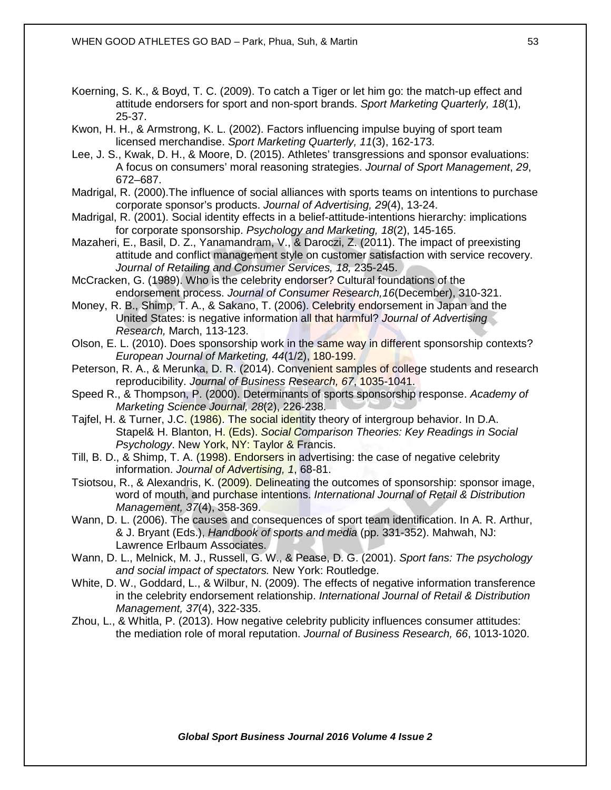Koerning, S. K., & Boyd, T. C. (2009). To catch a Tiger or let him go: the match-up effect and attitude endorsers for sport and non-sport brands. *Sport Marketing Quarterly, 18*(1), 25-37.

Kwon, H. H., & Armstrong, K. L. (2002). Factors influencing impulse buying of sport team licensed merchandise. *Sport Marketing Quarterly, 11*(3), 162-173.

Lee, J. S., Kwak, D. H., & Moore, D. (2015). Athletes' transgressions and sponsor evaluations: A focus on consumers' moral reasoning strategies. *Journal of Sport Management*, *29*, 672–687.

Madrigal, R. (2000).The influence of social alliances with sports teams on intentions to purchase corporate sponsor's products. *Journal of Advertising, 29*(4), 13-24.

Madrigal, R. (2001). Social identity effects in a belief-attitude-intentions hierarchy: implications for corporate sponsorship. *Psychology and Marketing, 18*(2), 145-165.

Mazaheri, E., Basil, D. Z., Yanamandram, V., & Daroczi, Z. (2011). The impact of preexisting attitude and conflict management style on customer satisfaction with service recovery. *Journal of Retailing and Consumer Services, 18,* 235-245.

McCracken, G. (1989). Who is the celebrity endorser? Cultural foundations of the endorsement process. *Journal of Consumer Research,16*(December), 310-321.

Money, R. B., Shimp, T. A., & Sakano, T. (2006). Celebrity endorsement in Japan and the United States: is negative information all that harmful? *Journal of Advertising Research,* March, 113-123.

Olson, E. L. (2010). Does sponsorship work in the same way in different sponsorship contexts? *European Journal of Marketing, 44*(1/2), 180-199.

Peterson, R. A., & Merunka, D. R. (2014). Convenient samples of college students and research reproducibility. *Journal of Business Research, 67*, 1035-1041.

Speed R., & Thompson, P. (2000). Determinants of sports sponsorship response. *Academy of Marketing Science Journal, 28*(2), 226-238.

Tajfel, H. & Turner, J.C. (1986). The social identity theory of intergroup behavior. In D.A. Stapel& H. Blanton, H. (Eds). *Social Comparison Theories: Key Readings in Social Psychology*. New York, NY: Taylor & Francis.

Till, B. D., & Shimp, T. A. (1998). Endorsers in advertising: the case of negative celebrity information. *Journal of Advertising, 1*, 68-81.

Tsiotsou, R., & Alexandris, K. (2009). Delineating the outcomes of sponsorship: sponsor image, word of mouth, and purchase intentions. *International Journal of Retail & Distribution Management, 37*(4), 358-369.

Wann, D. L. (2006). The causes and consequences of sport team identification. In A. R. Arthur, & J. Bryant (Eds.), *Handbook of sports and media* (pp. 331-352). Mahwah, NJ: Lawrence Erlbaum Associates.

Wann, D. L., Melnick, M. J., Russell, G. W., & Pease, D. G. (2001). *Sport fans: The psychology and social impact of spectators.* New York: Routledge.

White, D. W., Goddard, L., & Wilbur, N. (2009). The effects of negative information transference in the celebrity endorsement relationship. *International Journal of Retail & Distribution Management, 37*(4), 322-335.

Zhou, L., & Whitla, P. (2013). How negative celebrity publicity influences consumer attitudes: the mediation role of moral reputation. *Journal of Business Research, 66*, 1013-1020.